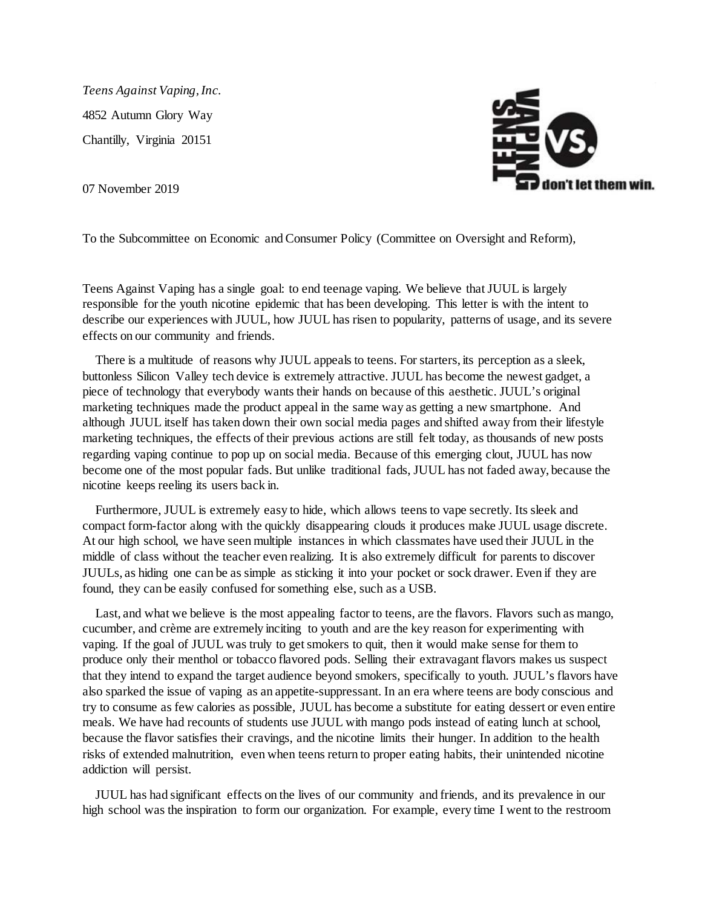*Teens Against Vaping, Inc.* 4852 Autumn Glory Way Chantilly, Virginia 20151

07 November 2019



To the Subcommittee on Economic and Consumer Policy (Committee on Oversight and Reform),

Teens Against Vaping has a single goal: to end teenage vaping. We believe that JUUL is largely responsible for the youth nicotine epidemic that has been developing. This letter is with the intent to describe our experiences with JUUL, how JUUL has risen to popularity, patterns of usage, and its severe effects on our community and friends.

 There is a multitude of reasons why JUUL appeals to teens. For starters, its perception as a sleek, buttonless Silicon Valley tech device is extremely attractive. JUUL has become the newest gadget, a piece of technology that everybody wants their hands on because of this aesthetic. JUUL's original marketing techniques made the product appeal in the same way as getting a new smartphone. And although JUUL itself has taken down their own social media pages and shifted away from their lifestyle marketing techniques, the effects of their previous actions are still felt today, as thousands of new posts regarding vaping continue to pop up on social media. Because of this emerging clout, JUUL has now become one of the most popular fads. But unlike traditional fads, JUUL has not faded away, because the nicotine keeps reeling its users back in.

 Furthermore, JUUL is extremely easy to hide, which allows teens to vape secretly. Its sleek and compact form-factor along with the quickly disappearing clouds it produces make JUUL usage discrete. At our high school, we have seen multiple instances in which classmates have used their JUUL in the middle of class without the teacher even realizing. It is also extremely difficult for parents to discover JUULs, as hiding one can be as simple as sticking it into your pocket or sock drawer. Even if they are found, they can be easily confused for something else, such as a USB.

Last, and what we believe is the most appealing factor to teens, are the flavors. Flavors such as mango, cucumber, and crème are extremely inciting to youth and are the key reason for experimenting with vaping. If the goal of JUUL was truly to get smokers to quit, then it would make sense for them to produce only their menthol or tobacco flavored pods. Selling their extravagant flavors makes us suspect that they intend to expand the target audience beyond smokers, specifically to youth. JUUL's flavors have also sparked the issue of vaping as an appetite-suppressant. In an era where teens are body conscious and try to consume as few calories as possible, JUUL has become a substitute for eating dessert or even entire meals. We have had recounts of students use JUUL with mango pods instead of eating lunch at school, because the flavor satisfies their cravings, and the nicotine limits their hunger. In addition to the health risks of extended malnutrition, even when teens return to proper eating habits, their unintended nicotine addiction will persist.

 JUUL has had significant effects on the lives of our community and friends, and its prevalence in our high school was the inspiration to form our organization. For example, every time I went to the restroom